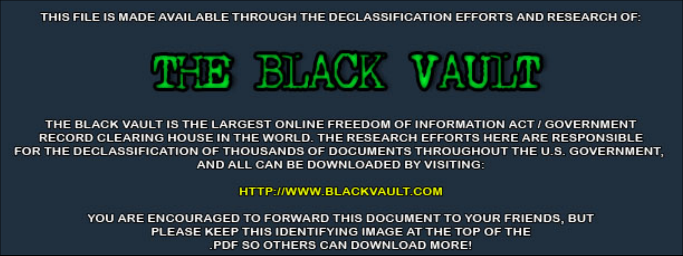THIS FILE IS MADE AVAILABLE THROUGH THE DECLASSIFICATION EFFORTS AND RESEARCH OF:



THE BLACK VAULT IS THE LARGEST ONLINE FREEDOM OF INFORMATION ACT / GOVERNMENT RECORD CLEARING HOUSE IN THE WORLD. THE RESEARCH EFFORTS HERE ARE RESPONSIBLE FOR THE DECLASSIFICATION OF THOUSANDS OF DOCUMENTS THROUGHOUT THE U.S. GOVERNMENT, AND ALL CAN BE DOWNLOADED BY VISITING:

**HTTP://WWW.BLACKVAULT.COM** 

YOU ARE ENCOURAGED TO FORWARD THIS DOCUMENT TO YOUR FRIENDS, BUT PLEASE KEEP THIS IDENTIFYING IMAGE AT THE TOP OF THE PDF SO OTHERS CAN DOWNLOAD MORE!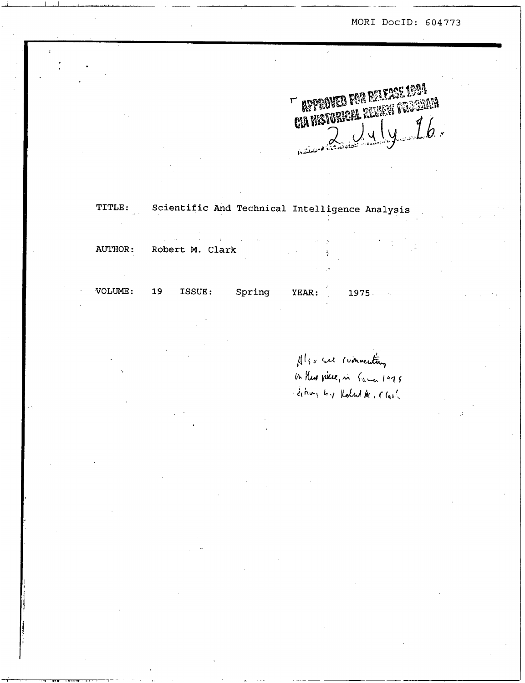**MOR1 DOCID:** 604773

**Figure FOR PELESSE 1994 CAPPROVED POR ELECCE TREE** នសង

**TITLE: Scientific And Technical Intelligence Analysis** 

**AUTHOR: Robert M. Clark** 

**VOLUME: 19 ISSUE:** 

**Spring YEAR: 1975** 

.. *I*  ..

Also see connecting in Rus piece, in Sumer 1975 Henry his Robert M. Clash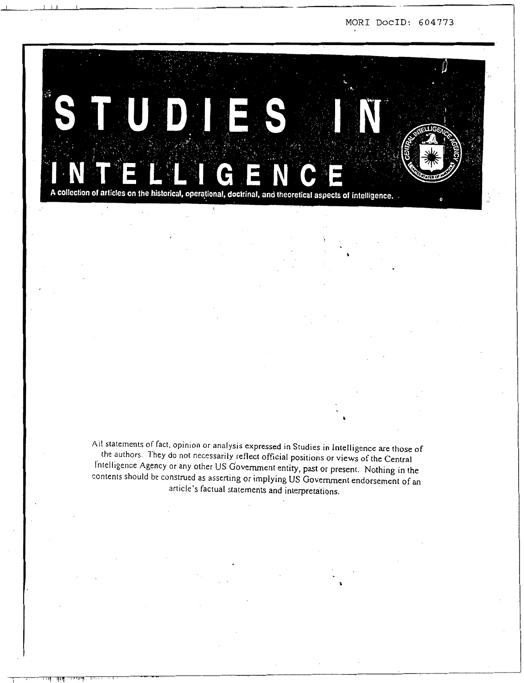MOR1 DocID: 604773



**All** statements of fact, opinion or analysis expressed in Studies in Intelligence are those of the authors. They do not necessarily reflect official positions or views of the Central I'ntelligence Agency or any other US G'ovement entity, **past** or present. Nothing in the contents should be construed as asserting or implying US Government endorsement of an article's factual statements and interpretations.

**P**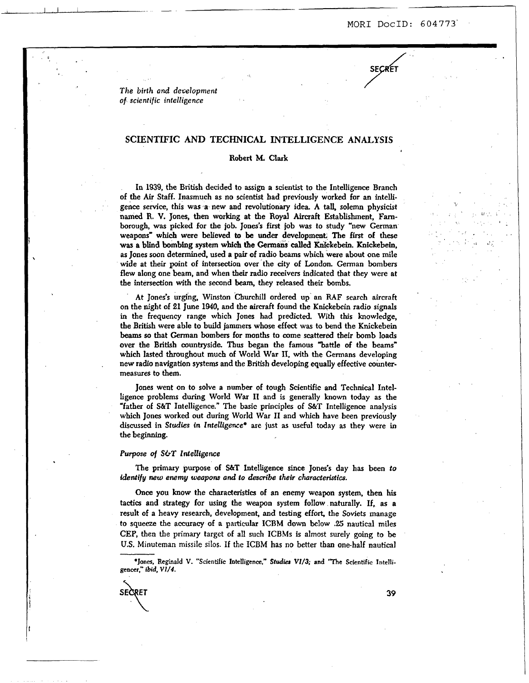SECRET

*39* 

*The birth and deoelopment of scientific intelligence* 

<u>A 1.1 I - A 1.1 I - A 1.1 I - A 1.1 I - A 1.1 I - A 1.1 I - A 1.1 I - A 1.1 I - A 1.1 I - A 1.1 I - A 1.1 I - A 1.</u><br>A 1.1 I - A 1.1 I - A 1.1 I - A 1.1 I - A 1.1 I - A 1.1 I - A 1.1 I - A 1.1 I - A 1.1 I - A 1.1 I - A 1.1

..

# **SCIENTIFIC AND TECHNICAL INTELLIGENCE ANALYSIS**

# Robert **M. Clark**

**In** 1939, the British decided to assign a scientist to the Intelligence Branch of the *Air* Staff. Inasmuch as no scientist bad previously worked for an intelligence service, this was a new and revolutionary idea. A tall, solemn physicist named **R. V.** Jones, then working at the Royal **Aircraft** Establishment, **Farn**borough, **was** picked for the job. Jones's **first** job was *to* study "new **German**  weapons" which were believed to be under development. The first of these as Jones soon determined, **used** a pair of **radio beams** which **were** about one mile wide at their point of intersection over the **city of** London. German bombers flew along one beam, and when their **radio** receivers indicated that they were at the intersection with the second beam, they released their **bombs.**  was a blind bombing system which the Germans called Knickebein. Knickebein,

At Jones's urging, Winston Churchill ordered up an **RAF** search aircraft on the night of **21** June **1940,** and the **aircraft** found the Knickebein radio signals in the frequency range which Jones had predicted. With this knowledge, the British were able to build jammers **whose** effect was to bend the Knickebein beams **so** that **German bombers** for **months** to come **scattered** their bomb loads ova the British countryside. **Thus** began the **famous** "battle of the beams" which **lasted** throughout much of World **War** 11. **with** the Germans developing new radio navigation systems and the British developing equally effective counter**measures** to them.

**Jones** went on **to** solve a number of tough Scientific and Technical Intelligence problems during World War **I1** and is generally **known** today as the 'father of **S&T** Intelligence." The basic principles of **S&T** Intelligence analysis which Jones worked out during World War **I1** and which have been previously discussed in *Studies* in *Intelligence*<sup>\*</sup> are just as useful today as they were in the beginning.

# **Purpose** of *SGT Zntelligence*

*identify new enemy* **weapons and** *to describe their characteristics.*  The primary purpose of **S&T** Intelligence since Jones's day has been *to* 

*Once* **you know** the characteristics of **an** enemy weapon system, then **his**  tactics and strategy for **using** the weapon system follow .naturally. If, **as a**  result of a heavy research, development, and testing effort, the Soviets manage to squeeze the accuracy of a particular **ICBM** down below **.25** nautical **miles CEP,** then the primary target of all such **ICBMs** is almost surely going **to** be **US.** Minuteman missile silos. If the **ICBM** has no better **than** one-half nautical

<sup>\*</sup>Jones, Reginald V. "Scientific Intelligence," Studies VI/3; and "The Scientific Intelli**gencer,"** *ibid, V1/4.*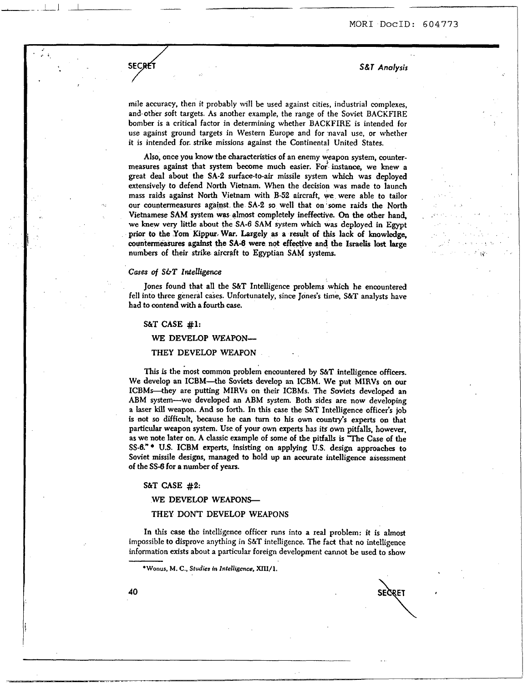**S&T** Analysis

SECRÉT

mile accuracy, then it probably **wiJ1** be used against cities, industrial complexes, and.other soft targets. As another example, the range of the Soviet BACKFIRE bomber is a critical factor in determining whether BACKFIRE is intended for use against ground targets in Western Europe and for naval use, or whether it **is** intended for. strike missions against the Continental United States.

**Also,** once you know the characteristics of an enemy weapon system, countermeasures against that system become much easier. For instance, we knew a great deal about the **SA-2** surface-to-air missile system which **was** deployed extensively to defend North Vietnam. When the decision **was** made to launch mass raids against North Vietnam with **B-52** aircraft, we were able to tailor our countermeasures against **the SA-2 so** well that on'some raids the North Vietnamese **SAM** system was almost completely ineffective. *On* the other hand, we knew very little about the SA-6 SAM system which was deployed in Egypt prior **to** the **Yom Kippur, War.** Largely **as a** result of **this** lack of knowledge, countermeasures against **the SA4** were not effdve and **the** Israelis **lost large**  numbers of their **strike** aircraft to Egyptian **SAM** systems.

# **Cases** of *SLtT Zntelligence*

Jones found that all the S&T Intelligence problems which he encountered fell into three general cases. Unfortunately, since Jones's time, S&T analysts have had to contend with a **fourtb** case.

# **S&T CASE #1:**

#### **WE** DEVELOP WEAPON-

### THEY DEVELOP WEAPON

**This** is the most common problem encountered by **S&T** intelligence officers. We develop an ICBM-the **Soviets** develop **an ICBM. We** put MIRVs on our ICBMs-they are putting MIRVs on their ICBMs. The Soviets developed an **ABM** system-we developed an **ABM** system. Both sides are now developing a laser **kill** weapon. And **so** forth. In **this** case the **S&T** Intelligence officer's job is not so difficult, because he *can* turn to **his own country's** experts **on** that particular weapon system. Use of your **own** experts **has** its **own** pitfalls, however, as we note later on. **A** classic example of some of tbe pitfalls is "The Case of the **SS-6."+ U.S. ICBM** experts, insisting on applying U.S. design approaches to Soviet missile designs, managed to hold up an accurate intelligence assessment of the SS-6 for a number of years.

# **S&T CASE #2:**

# WE DEVELOP WEAPONS-

# **THEY DON'T** DEVELOP WEAPONS

In **this** case the intelligence officer **runs** into *a* real problem: it is almost impossible to disprove anything in **S&T** intelligence. The fact that no intelligence information exists about a **particular** foreign development cannot be used to show

 $\sum_{i=1}^{n}$ 

**40** 

 $*$  Wonus, M. C., Studies in Intelligence, XIII/1.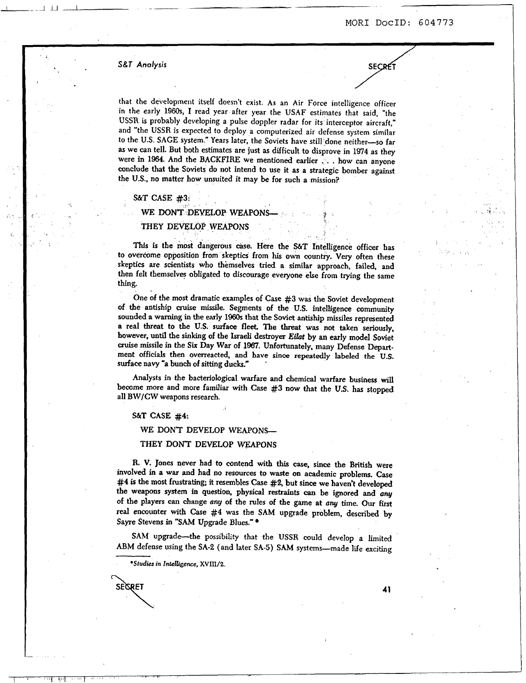*S&T Analysis* 



that the development itself doesn't exist. **As** an Air Force intelligence officer in the early **196Os,** I read year after year the USAF estimates that said, "the USSR is probably developing a pulse doppler radar for its interceptor aircraft," and "the **USSR** is expected to deploy a computerized air defense system similar *to* the U.S. **SAGE** system." Years later, the Soviets have still done neither-so far **as** we can tell. But both estimates are just **as** difficult to disprove in 1974 as they were in 1964. And the BACKFIRE we mentioned earlier  $\therefore$  how can anyone conclude that **the** Soviets do not intend to use it **as** a strategic bomber against the **U.S., no** matter how unsuited it may be for such a mission?

#### **S&T CASE #3:**

# WE DON'T DEVELOP WEAPONS

# **THEY DEVELOP WEAPONS**

**This** is the **most** dangerous case. Here the **!&T** Intelligence officer **has**  to overcome opposition from skeptics from **his own** country. Very often these skeptics are scientists who themselves **tried** a similar approach, failed, and then felt themselves obligated to discourage everyone eke from trying the same **thing.** 

One of the most dramatic examples of Case **#3** was the Soviet development of the antiship cruise missile. Segments of **the U.S.** intelligence community sounded **a** warning in the **early 1960s** tbat the **Soviet** antiship missiles represented **<sup>a</sup>**real threat **to** the **U.S. surface** fleet The threat **was** not taken seriously, however, **until** the **sinking** of the Israeli destroyer *Eilat* by **an** early model Soviet &e missile in the **Six** Day *War* of **1967.** Unfortunately, many Defense **Depart**ment officials then overreacted, and have since repeatedly labeled the **U.S.**  surface navy **"a** bunch of sitting ducks." '

Analysts in the bacteriological warfare and chemical warfare business will become more and more familiar with Case **#3** now that the **US.** has stopped all BW/CW weapons research.

# **S&T CASE #4:**

# WE DON'T DEVELOP **WEAPONS-**

# **THEY DON'T DEVELOP WEAPONS**

**R. V.** Jones never had to contend with **this** case, **since the** British were involved in **a** war and had no resources to **waste** on academic problems. Case #4 is the most frustrating; it resembles Case #2, but since we haven't developed the weapons system in question, physical restraints can be ignored and any of the players can change **any** of the rules of the game at *uty* time. **Our first**  real encounter **with** Case **#4** was the **SAM** upgrade problem, described by Sayre Stevens in "SAM Upgrade Blues." .

SAM upgrade-the possibility that the USSR could develop a limited ABM defense using the SA-2 (and later SA-5) SAM systems-made life exciting Exercise using the SA-2 (and later SA-5) SAM systems—made life exciting<br>
Studies in Intelligence, XVIII/2.<br> **41** 

*'Studies* **in Intelligence, XVIW2.**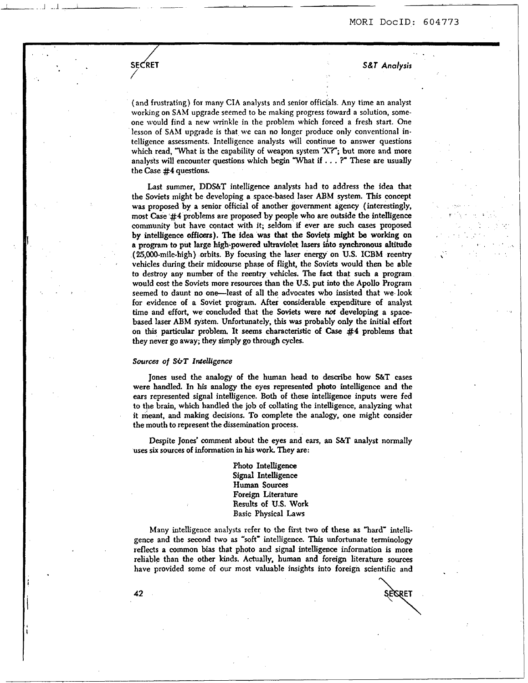..

\*

 $\ddot{\phantom{0}}$ 

Eisret

*S&T Analysis* 

(and frustrating) for many CIA analysts and senior officials. Any time an analyst working on **SAM** upgrade seemed to be making progress toward a solution, someone would find a new wrinkle in the problem which forced a fresh start. One lesson of **SAM** upgrade is that we can no longer produce only conventional intelligence assessments. Intelligence analysts will continue to answer questions which read, "What is the capability of weapon system *'X?";* but more and more analysts will encounter questions which **begin** "What *if* . . . ?" These are usually the Case **#4** questions.

Last summer, **DDS&T** intelligence analysts had to address the idea that the Soviets might be developing a space-based laser ABM system. This concept was proposed by a senior official of another government agency (interestingly, most Case *'#4* problems are proposed by people who are outside the intelligence community but have wntact with it; seldom *if* ever are *such* cases proposed by intelligence officers). The idea was that the Soviets might be working on **a** program **to** put large high-powered ultraviolet lasers into synchronous dtitude (25,000-mile-high) orbits. By focusing the laser energy on **U.S.** ICBM reenhy vehicles during their midcourse phase of flight, the Soviets would then be able to destroy any number of the reentry vehicles. The fact that such **a** program would cost **the** Soviets more resources than the U.S. put into the Apollo Program seemed to daunt no one-least of all the advocates who insisted that we look for evidence of a Soviet program. *After* considerable expenditure of analyst time and effort, we concluded that the **Soviets** were *not* developing a spacebased laser **ABM** system. Unfortunately, **this was** probably only the initial effort on **this** particular problem. It seems characteristic of Case **#4** problems that they never go away; **they** simply go through cycles.

#### **Sources** *of S6T Intelligence*

*8* 

SECRET

*42* 

Jones used the analogy of the human head to describe how S&T cases were **handled.** In **his** analogy the eyes represented photo intelligence and the ears represented signal intelligence. Both of these intelligence inputs were **fed**  to the brain, which handled the job of collating the intelligence, analyzing what it **meant,** and making decisions. To complete the analogy, one might consider the mouth to represent the dissemination process.

Despite Jones' comment about the eyes and ears, **an** S&T analyst normally uses *six* sources of information in **his** work. They are:

> Photo Intelligence Signal Intelligence **Human Sources**  Foreign Literature Results of **U.S.** Work Basic Physical **Laws**

Many intelligence analysts refer to the first **two of** these **as** "hard' intelligence and the second two **as usoft"** intelligence. This unfortunate terminology reflects a common bias that photo and signal intelligence information is more reliable than the other kinds. Actually, human and foreign literature **sources**  have provided some of our most valuable insights into foreign scientific and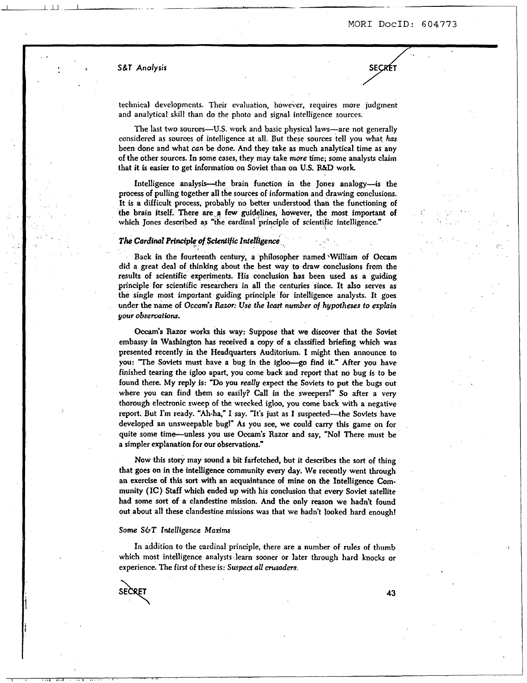SECRET

**43** 

*S&T Analysis* 

technical developments. Their evaluation, however, requires more judgment and analytical skill than do the photo and signal intelligence sources.

The last two sources-U.S. work and basic physical laws-are not generally considered as sources of intelligence at all. But these sources tell you what has been done and what **can** be done. And they take **as** much analytical time as any of the other sources. In some cases, they may take *more* time; some analysts claim that it is easier to get information on Soviet than on **U.S. R&D** work

Intelligence analysis—the brain function in the Jones analogy—is the process of pulling together all the sources of information and drawing conclusions. It is a difficult process, probably no better understood than the functioning of the brain itself. There are a few guidelines, however, the most important of which Jones described as "the cardinal principle of scientific intelligence."

#### *The Cardinat Principle ofsdentific Intelligence* . is.

Back in the fourteenth century, a philosopher named \William of Occam did a great deal of thinking about the best way to draw conclusions from the results of scientific experiments. His conclusion **bas** been used as a guiding principle for scientific researchers in all the centuries since. It **also** serves as the single most important guiding principle for intelligence analysts. It **goes**  under the name of **Occam's** *Ram: Use the leust* **number** *of hypotheses to* **explain your obsemtions.** 

**Occam's** Razor works **this** way: Suppose that we discover that the Soviet embassy in Washington has received a copy of a classified briefing which was presented recently in the Headquarters Auditorium. I might **then** announce **to**  you: "The Soviets must have a bug in the igloo-go find it." After you have finished tearing the igloo apart, you come back and report that no bug is to be found there. My reply is: "Do you really expect the Soviets to put the bugs out where you can find them **so** easily? Call in the sweepers!" *So* after a very thorough electronic sweep of the wrecked igloo, you come back with a negative report. But I'm ready. "Ah-ha," I say. "It's just as I suspected-the Soviets have developed an unsweepable bug!" As you **see,** we could carry **this** game on for quite some time-unless you use **Occam's** Razor and say, **"No1** There must be a simpler explanation for our observations."

Now this story may sound a bit farfetched, but it **describes** the sort of thing that goes on in the intelligence community every **day.** We recently went through an exercise of this **sort** with an acquaintance of mine on **the** Intelligence Community (IC) Staff which ended up with his conclusion that every Soviet satellite had some **sort** of a clandestine mission. And the only reason we hadn't found out about all these clandestine missions was that we hadn't looked hard enough!

#### *Some SGT Intelligence Maxims*

In addition to the cardinal principle, there are a number of rules of thumb which most intelligence analysts learn sooner or later through hard knocks or experience. The first of these is: Suspect all crusaders.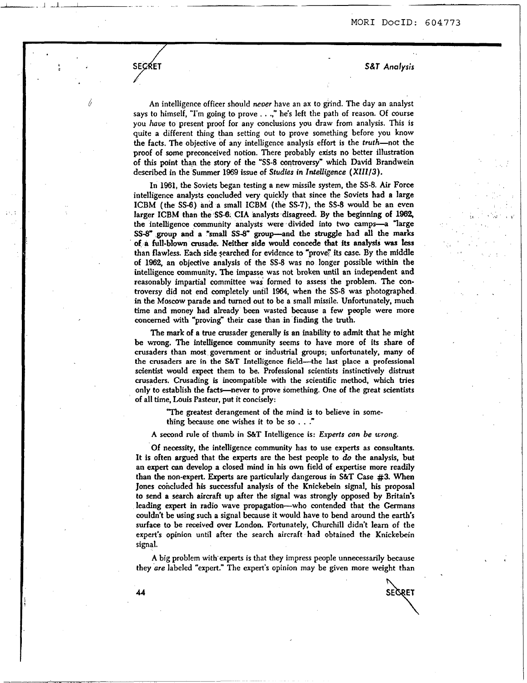*SdT Analysis* 

*Il* An intelligence officer should **neoer** have an ax to grind. The day an analyst says to himself, "I'm going to prove . . .," he's left the path of reason. Of course you **hue** to present proof for any conclusions you draw from analysis. This is quite a different thing than setting out to prove something before you know the facts. The objective of any intelligence analysis effort is the truth-not the proof of some preconceived notion. There probably exists no better illustration of **this** point than the **story** of the *"SS-8* controversy" which David Brandwein described in the Summer 1969 issue of Studies in *Intelligence* (XIII/3).

In **1961,** the Soviets began testing a new missile system, the *SS-8. Air* Force intelligence analysts concluded very quickly that since the Soviets had **a** large ICBM (the **SS-6)** and **a** small **ICBM** (the **SS-7).** the **SS-8** would be an even larger ICBM than the SS-6. CIA analysts disagreed. By the beginning of 1962, the intelligence community analysts were divided into two camps-a "large *sS#* group and **a** 'small **SS-8" group-and** the struggle had **all the** marks of **a** full-blown crusade. **Neither** side **wu!B** concede **that** its analysis **was !ess**  than flawless. Each side searched for evidence to "prove" its case. By the middle of 1962, an objective analysis of the **SS-8** was **no** longer possible within the intelligence community. The impasse was not broken until **an** independent and reasonably impartial committee was- formed to assess the problem. The controversy did not end completely until **1964,** when the *SS-8* **was** photographed in the **Moscow** parade and **turned out** to be a small missile. Unfortunately, much time and money had already been wasted because a few people were more concerned with "proving" their case than in finding the truth.

The mark of a true crusader generally is an inability to admit that he might **be** wrong. The intelligence community seems to have more of its share of crusaders than most government or industrial groups; unfortunately, many of the crusaders are in the **S&T** Intelligence field-the last place a professional scientist would expect them to be. Professional scientists instinctively distrust crusaders. Crusading is incompatible with the scientific method, which tries only to establish the facts-never to prove something. One of the great scientists of all time, Louis Pasteur, put it concisely:

> "The greatest derangement of the mind is to believe in something because one wishes it to be **so** , . ."

A second rule of thumb in **S&T** Intelligence is: *Erperts* can be **wrong.** 

Of necessity, the intelligence community has to use experts as consultants. It is often argued that the experts are the best people to **do** the analysis, but an expert can develop a closed mind in his **own** field of expertise more readily than the non-expert. Experts are particularly dangerous in S&T Case #3. When Jones concluded his successful analysis of the Knickebein signal, **his** proposal to send a search aircraft up after the signal was strongly opposed by Britain's leading expert in radio wave propagation-who contended that the Germans couldn't be using **such a** signal because it would have to bend around the earth's surface to be received over London. Fortunately, Churchill didn't learn of the expert's opinion until after the search aircraft had obtained the Knickebein signal.

A big problem with experts is that they impress people unnecessarily because they are labeled "expert." The expert's opinion may be given more weight than

SECRET

**6** 

**44** 

**SECRET**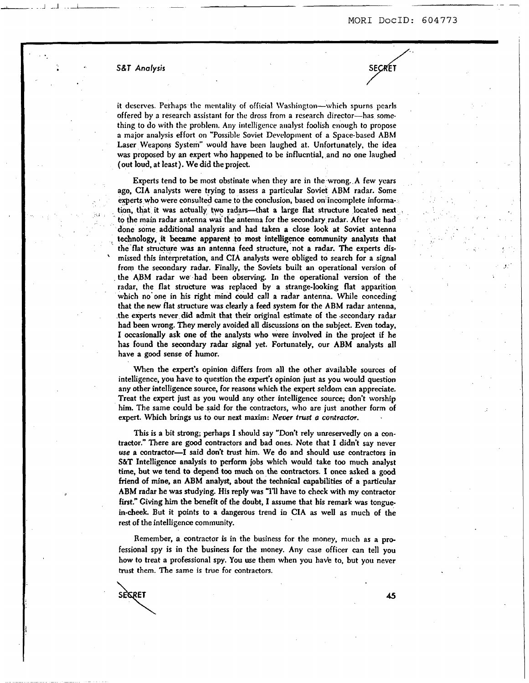...

**S&T Analysis** 

's<br>,

\_\_ ~\_\_



it deserves. Perhaps the mentality of official Washington--which spurns pearls offered by a research assistant for the dross from a research director-has **some**thing to do with the problen,. Any intelligence analyst foolish enough to propose a major analysis effort on "Possible Soviet Devclopnient of a Space-based ABM Laser Weapons System" would have been laughed at. Unfortunately, the idea was proposed by an expert who happened to be influcntial, and no one laughed *(out* loud, at least). We did the project.

Experts tend to be most obstinate when they are in the wrong. A few ycars ago, CIA analysts were trying to assess a particular Soviet ABM radar. Some experts who were consulted came to the conclusion, based **on** incomplete information, that it was actually two radars-that a large flat structure located next to the main radar antenna was' the antenna for the secondary radar. After we had done some additional analysis and had taken **a** close **look** at Soviet antenna <sup>~</sup>technology, it became apparent **to most** intelligence community analysts that the'flat structure was an antenna feed structure, not **a** radar. The experts dismissed this interpretation, and CIA analysts were obliged to search for a signal from the secondary radar. Finally, the Soviets built an operational version of . the ABM radar we had been observing. In the operational version of the radar. the flat structure was replaced by a strange-looking flat apparition which no'one in his right mind could call **a** radar antenna. While conceding that the new flat structure was clearly a feed system for the ABM radar antenna, .the experts never did admit that their original estimate of the .secondary radar had been wrong. They merely avoided all **discussions** on the subject. Even today, I occasionally **ask** one of the analysts who were involved in the project *if* he has found the secondary radar signal yet. Fortunately, our **ABM** analysts all have a **good** sense of humor.

When the expert's opinion differs from all the other available sources of intelligence, you have to question the expert's opinion just **as** you would question any other intelligence source, for reasons which the expert seldom **can** appreciate. Treat the expert just as you would any other intelligence source; don't worship him. The same could be said for the contractors, who are just another form of expert. Which brings us to our next maxim: Never trust a contractor.

This is a bit strong; perhaps I should say "Don't rely unreservedly on a contractor." There are good contractors and bad ones. Note that I didn't say never use a contractor-I said don't trust him. We do and should use contractors in *ShT* Intelligence analysis to perform jobs which would take too much analyst time, hut we tend **to** depend too **much** on the contractors. I once **asked a** good friend of mine, an ABM analyst, about the technical capabilities of a particular ABM radar he was studying. His reply was **"111** have to **check** with my contractor first." Giving him the benefit of the doubt, I assume that his remark was tonguein-cheek. But it points **to** a dangerous trend in CIA **as** well as much of the rest of the intelligence community.

Remember, **a** contractor is in the business for the money, much **as a** professional spy is in the **business** for the money. Any case officer can tell **you**  how to treat a professional spy. You use them when you have to, but you never trust them. The same is true for contractors.

SEGRET

**45**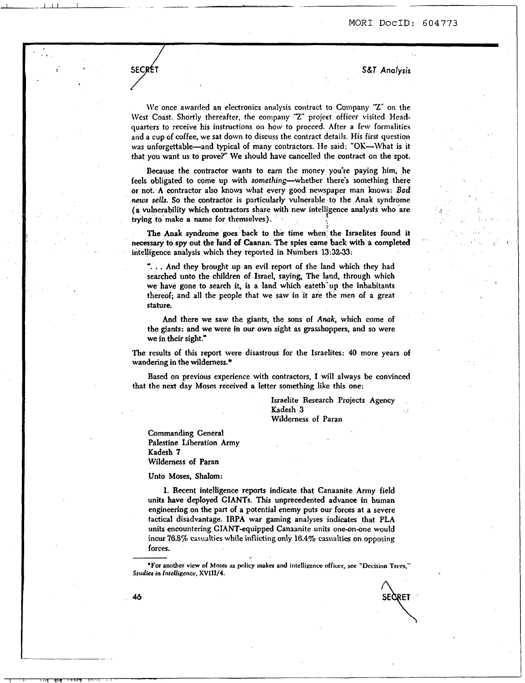**4** 

*S&T Analysis* 

\!'e once atvarded an electronics analysis contract to Company *'2* **on** the West Coast. Shortly thereafter, the company "Z" project officer visited Headquarters to receive his instructions **on** how to proceed. After a few fornialities and a cup of coffee, we sat down to discuss the contract details. His first question was unforgettable—and typical of many contractors. He said: "OK—What is it that you want us to prove?' We should have cancelled the contract on the spot.

Because the contractor wants to earn the money you're paying him. he **feels** obligated to come up with something-whether there's something there or not. A contractor also knows what every good newspaper man knows: Bad news sells. **So** the contractor is particularly vulnerable to the Anak syndrome **(a** vulnerability which contractors share with new intelligence analysts who are Y trying to make a name for themselves).

The Anak syndrome **goes** back to the time when the Israelites found it necessary to spy out the land of Caanan. The spies came back with a completed intelligence analysis which they reported in Numbers 13:32-33:

". . . And they brought up an evil report of the land which they had searched unto the children of Israel, saying, The land. through which we have gone to search it, is a land which eateth'up the inhabitants thereof; and all the people that we saw in it are the men of a great stature.

And there we saw the giants, the **sons** of *Anak,* which come of the giants: and we were in our **own** sight **as** grasshoppers, and **so** were we in their sight."

The results of this report were disastrous for the Israelites: *40* more years of wandering in the wilderness.\*

Based on previous experience with contractors, I will always be convinced that the next day Moses received a letter something like this one:

> Israelite Research Projects Agency Kadesh 3 Wilderness of Paran

Commanding General Palestine Liberation Army Kadesb **7**  Wilderness of Paran

Unto Moses, Shalom:

**1.** Recent intelligence reports indicate that Canaanite Army field units have deployed GIANTS. This unprecedented advance in human engineering on the part of a potential enemy puts our forces at **a** severe tactical disadvantage. IRPA **war** gaming analyses indicates that PLA units encountering GIANT-equipped Canaanite units one-on-one would incur **76.8%** casualties while inflicting only **16.4%** casnalties **on** opposing forces.

**\*For another view of Moses as policy maker and intelliyenrw officrr.** *see* **"Decision Trees."**  *Studies* in Intelligence, **XVIII/4.** 

**46** 

 $\overbrace{\text{SECRET}}$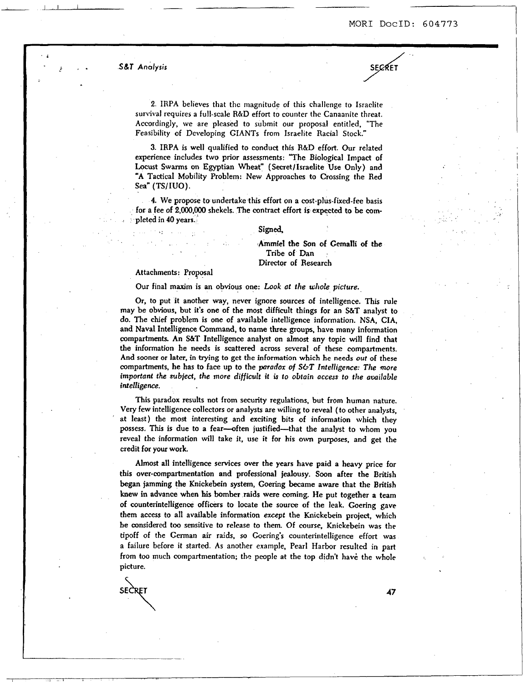I I

# **I-** .. *S&T* **Analysis**



**47** 

**2.** IRPA believes that thc magnitude of this challenge to Israclite survival requires a full-scale R&D effort to counter the Canaanite threat. Accordingly, we are pleased to submit our proposal entitled, "The Feasibility of Developing GIANTs from Israelite Racial Stock."

3. IRPA is well qualified to conduct this **R&D** effort. Our related experience includes two prior assessments: "The Biological Impact of Locust Swarms on Egyptian Wheat" (Secret/Israelite Use Only) and "A Tactical Mobility Problem: New Approaches to Crossing the Red Sea" **(TS/IUO).** 

**4.** We propose to undertake this effort on a cost-plus-fixed-fee basis for a fee of **2,000,000** shekels. The contract effort is expected *to* be **corn-**pleted in **40** years. ' **<sup>i</sup>**

#### Signed,

**Ammiel** the **Son of** Gemalli **of** the Director of Research Tribe of Dan

# Attachments: Proposal

**SECRET** 

Our final maxim is an obvious one: *Look ut* the *whole* picture.

Or, to put it another way, never ignore sources of intelligence. **This** rule may be obvious, but it's one of the most difficult things for an S&T analyst to *do.* The chief problem is one of available intelligence information. NSA. CIA, and Naval Intelligence Command, **to** name three **groups,** have many information compartments. An **SdrT** Intelligence analyst on almost any topic will find that **the** information he needs is scattered across several of these compartments. And sooner or later, **in** trying **to get** the information which he needs *out* of these compartments, he has to face up to the paradox *of SC-T Intelligence: The* **more important** *the subject,* **the more** *difficult it* **is** *to obtain access* **to the** *ouailable intelligence.* 

This **paradox** results not from security regulations, but from human nature. Very few intelligence collectors or analysts are willing to reveal (to other analysts, at least) the **most** interesting and exciting bits of information which they possess. This is due to a fear-often justified-that the analyst to whom you reveal the information will take it, use it for his **own** purposes, and get the credit for your work.

Almost all intelligence services over the years have paid **a** heavy price for this over-compartmentation and professional jealousy. Soon after the British began jamming the Knickebein system, Coering became aware that the British knew in advance when his bomber raids were coming. He put together a team of counterintelligence officers to locate the source of the leak. Coering gave them access to all available information *except* the Knickebein project, which be **considered** too sensitive to release to them. Of course, Knickebein was the tipoff of the German air raids, **so** Goering's counterintelligence effort was a failure before it started. As another example, Pearl Harbor resulted in part from too much compartmentation; the people at the top didn't have the whole picture.